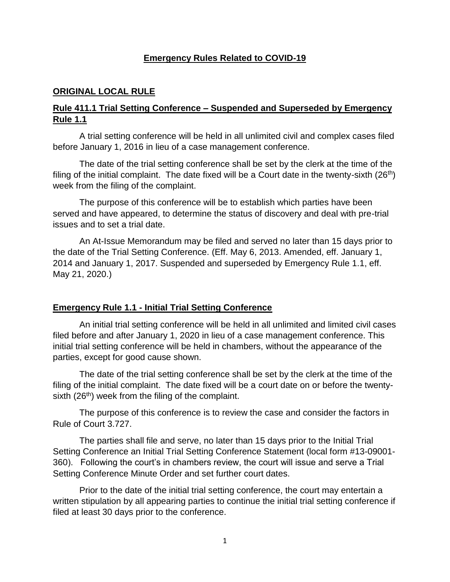### **Emergency Rules Related to COVID-19**

### **ORIGINAL LOCAL RULE**

### **Rule 411.1 Trial Setting Conference – Suspended and Superseded by Emergency Rule 1.1**

A trial setting conference will be held in all unlimited civil and complex cases filed before January 1, 2016 in lieu of a case management conference.

The date of the trial setting conference shall be set by the clerk at the time of the filing of the initial complaint. The date fixed will be a Court date in the twenty-sixth  $(26<sup>th</sup>)$ week from the filing of the complaint.

The purpose of this conference will be to establish which parties have been served and have appeared, to determine the status of discovery and deal with pre-trial issues and to set a trial date.

An At-Issue Memorandum may be filed and served no later than 15 days prior to the date of the Trial Setting Conference. (Eff. May 6, 2013. Amended, eff. January 1, 2014 and January 1, 2017. Suspended and superseded by Emergency Rule 1.1, eff. May 21, 2020.)

### **Emergency Rule 1.1 - Initial Trial Setting Conference**

An initial trial setting conference will be held in all unlimited and limited civil cases filed before and after January 1, 2020 in lieu of a case management conference. This initial trial setting conference will be held in chambers, without the appearance of the parties, except for good cause shown.

The date of the trial setting conference shall be set by the clerk at the time of the filing of the initial complaint. The date fixed will be a court date on or before the twentysixth  $(26<sup>th</sup>)$  week from the filing of the complaint.

The purpose of this conference is to review the case and consider the factors in Rule of Court 3.727.

The parties shall file and serve, no later than 15 days prior to the Initial Trial Setting Conference an Initial Trial Setting Conference Statement (local form #13-09001- 360). Following the court's in chambers review, the court will issue and serve a Trial Setting Conference Minute Order and set further court dates.

Prior to the date of the initial trial setting conference, the court may entertain a written stipulation by all appearing parties to continue the initial trial setting conference if filed at least 30 days prior to the conference.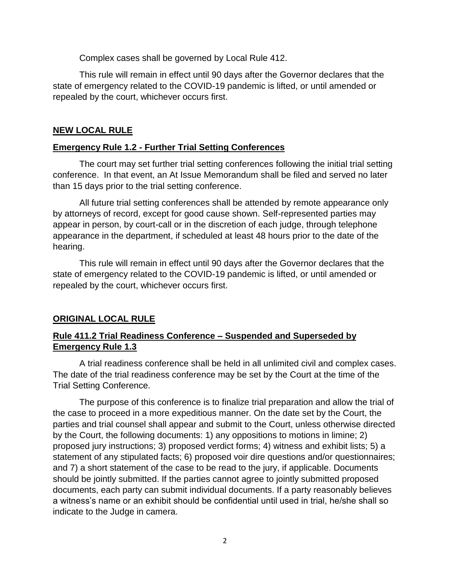Complex cases shall be governed by Local Rule 412.

This rule will remain in effect until 90 days after the Governor declares that the state of emergency related to the COVID-19 pandemic is lifted, or until amended or repealed by the court, whichever occurs first.

### **NEW LOCAL RULE**

### **Emergency Rule 1.2 - Further Trial Setting Conferences**

The court may set further trial setting conferences following the initial trial setting conference. In that event, an At Issue Memorandum shall be filed and served no later than 15 days prior to the trial setting conference.

All future trial setting conferences shall be attended by remote appearance only by attorneys of record, except for good cause shown. Self-represented parties may appear in person, by court-call or in the discretion of each judge, through telephone appearance in the department, if scheduled at least 48 hours prior to the date of the hearing.

This rule will remain in effect until 90 days after the Governor declares that the state of emergency related to the COVID-19 pandemic is lifted, or until amended or repealed by the court, whichever occurs first.

## **ORIGINAL LOCAL RULE**

## **Rule 411.2 Trial Readiness Conference – Suspended and Superseded by Emergency Rule 1.3**

A trial readiness conference shall be held in all unlimited civil and complex cases. The date of the trial readiness conference may be set by the Court at the time of the Trial Setting Conference.

The purpose of this conference is to finalize trial preparation and allow the trial of the case to proceed in a more expeditious manner. On the date set by the Court, the parties and trial counsel shall appear and submit to the Court, unless otherwise directed by the Court, the following documents: 1) any oppositions to motions in limine; 2) proposed jury instructions; 3) proposed verdict forms; 4) witness and exhibit lists; 5) a statement of any stipulated facts; 6) proposed voir dire questions and/or questionnaires; and 7) a short statement of the case to be read to the jury, if applicable. Documents should be jointly submitted. If the parties cannot agree to jointly submitted proposed documents, each party can submit individual documents. If a party reasonably believes a witness's name or an exhibit should be confidential until used in trial, he/she shall so indicate to the Judge in camera.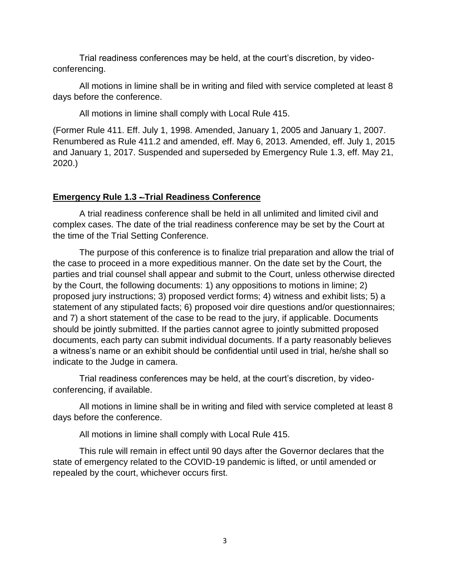Trial readiness conferences may be held, at the court's discretion, by videoconferencing.

All motions in limine shall be in writing and filed with service completed at least 8 days before the conference.

All motions in limine shall comply with Local Rule 415.

(Former Rule 411. Eff. July 1, 1998. Amended, January 1, 2005 and January 1, 2007. Renumbered as Rule 411.2 and amended, eff. May 6, 2013. Amended, eff. July 1, 2015 and January 1, 2017. Suspended and superseded by Emergency Rule 1.3, eff. May 21, 2020.)

# **Emergency Rule 1.3 - Trial Readiness Conference**

A trial readiness conference shall be held in all unlimited and limited civil and complex cases. The date of the trial readiness conference may be set by the Court at the time of the Trial Setting Conference.

The purpose of this conference is to finalize trial preparation and allow the trial of the case to proceed in a more expeditious manner. On the date set by the Court, the parties and trial counsel shall appear and submit to the Court, unless otherwise directed by the Court, the following documents: 1) any oppositions to motions in limine; 2) proposed jury instructions; 3) proposed verdict forms; 4) witness and exhibit lists; 5) a statement of any stipulated facts; 6) proposed voir dire questions and/or questionnaires; and 7) a short statement of the case to be read to the jury, if applicable. Documents should be jointly submitted. If the parties cannot agree to jointly submitted proposed documents, each party can submit individual documents. If a party reasonably believes a witness's name or an exhibit should be confidential until used in trial, he/she shall so indicate to the Judge in camera.

Trial readiness conferences may be held, at the court's discretion, by videoconferencing, if available.

All motions in limine shall be in writing and filed with service completed at least 8 days before the conference.

All motions in limine shall comply with Local Rule 415.

This rule will remain in effect until 90 days after the Governor declares that the state of emergency related to the COVID-19 pandemic is lifted, or until amended or repealed by the court, whichever occurs first.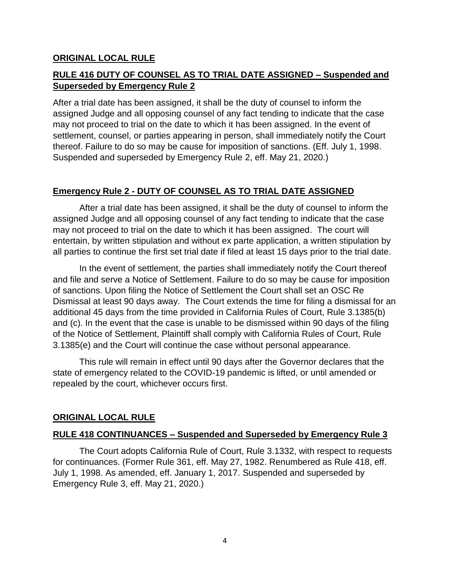### **ORIGINAL LOCAL RULE**

# **RULE 416 DUTY OF COUNSEL AS TO TRIAL DATE ASSIGNED – Suspended and Superseded by Emergency Rule 2**

After a trial date has been assigned, it shall be the duty of counsel to inform the assigned Judge and all opposing counsel of any fact tending to indicate that the case may not proceed to trial on the date to which it has been assigned. In the event of settlement, counsel, or parties appearing in person, shall immediately notify the Court thereof. Failure to do so may be cause for imposition of sanctions. (Eff. July 1, 1998. Suspended and superseded by Emergency Rule 2, eff. May 21, 2020.)

# **Emergency Rule 2 - DUTY OF COUNSEL AS TO TRIAL DATE ASSIGNED**

After a trial date has been assigned, it shall be the duty of counsel to inform the assigned Judge and all opposing counsel of any fact tending to indicate that the case may not proceed to trial on the date to which it has been assigned. The court will entertain, by written stipulation and without ex parte application, a written stipulation by all parties to continue the first set trial date if filed at least 15 days prior to the trial date.

In the event of settlement, the parties shall immediately notify the Court thereof and file and serve a Notice of Settlement. Failure to do so may be cause for imposition of sanctions. Upon filing the Notice of Settlement the Court shall set an OSC Re Dismissal at least 90 days away. The Court extends the time for filing a dismissal for an additional 45 days from the time provided in California Rules of Court, Rule 3.1385(b) and (c). In the event that the case is unable to be dismissed within 90 days of the filing of the Notice of Settlement, Plaintiff shall comply with California Rules of Court, Rule 3.1385(e) and the Court will continue the case without personal appearance.

This rule will remain in effect until 90 days after the Governor declares that the state of emergency related to the COVID-19 pandemic is lifted, or until amended or repealed by the court, whichever occurs first.

## **ORIGINAL LOCAL RULE**

### **RULE 418 CONTINUANCES – Suspended and Superseded by Emergency Rule 3**

The Court adopts California Rule of Court, Rule 3.1332, with respect to requests for continuances. (Former Rule 361, eff. May 27, 1982. Renumbered as Rule 418, eff. July 1, 1998. As amended, eff. January 1, 2017. Suspended and superseded by Emergency Rule 3, eff. May 21, 2020.)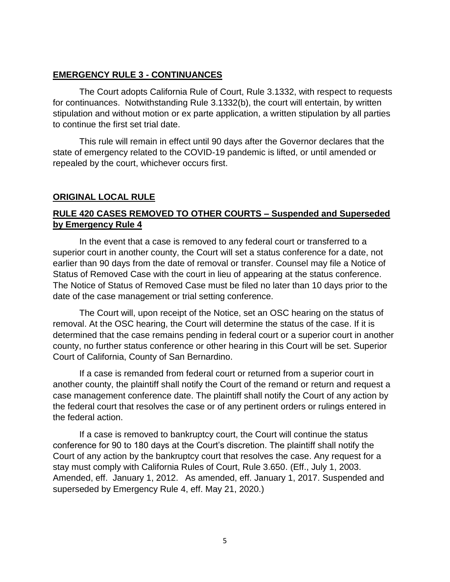### **EMERGENCY RULE 3 - CONTINUANCES**

The Court adopts California Rule of Court, Rule 3.1332, with respect to requests for continuances. Notwithstanding Rule 3.1332(b), the court will entertain, by written stipulation and without motion or ex parte application, a written stipulation by all parties to continue the first set trial date.

This rule will remain in effect until 90 days after the Governor declares that the state of emergency related to the COVID-19 pandemic is lifted, or until amended or repealed by the court, whichever occurs first.

# **ORIGINAL LOCAL RULE**

# **RULE 420 CASES REMOVED TO OTHER COURTS – Suspended and Superseded by Emergency Rule 4**

In the event that a case is removed to any federal court or transferred to a superior court in another county, the Court will set a status conference for a date, not earlier than 90 days from the date of removal or transfer. Counsel may file a Notice of Status of Removed Case with the court in lieu of appearing at the status conference. The Notice of Status of Removed Case must be filed no later than 10 days prior to the date of the case management or trial setting conference.

The Court will, upon receipt of the Notice, set an OSC hearing on the status of removal. At the OSC hearing, the Court will determine the status of the case. If it is determined that the case remains pending in federal court or a superior court in another county, no further status conference or other hearing in this Court will be set. Superior Court of California, County of San Bernardino.

If a case is remanded from federal court or returned from a superior court in another county, the plaintiff shall notify the Court of the remand or return and request a case management conference date. The plaintiff shall notify the Court of any action by the federal court that resolves the case or of any pertinent orders or rulings entered in the federal action.

If a case is removed to bankruptcy court, the Court will continue the status conference for 90 to 180 days at the Court's discretion. The plaintiff shall notify the Court of any action by the bankruptcy court that resolves the case. Any request for a stay must comply with California Rules of Court, Rule 3.650. (Eff., July 1, 2003. Amended, eff. January 1, 2012. As amended, eff. January 1, 2017. Suspended and superseded by Emergency Rule 4, eff. May 21, 2020.)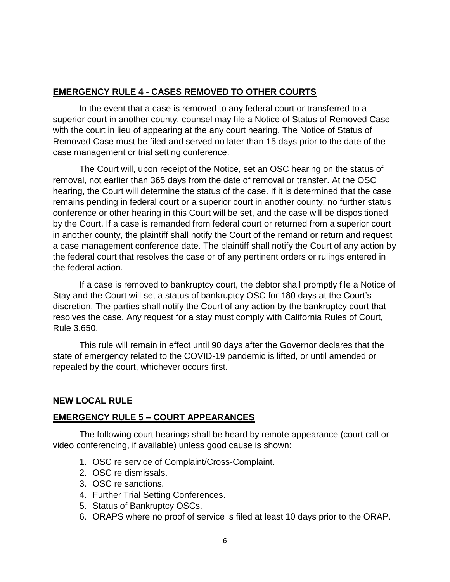### **EMERGENCY RULE 4 - CASES REMOVED TO OTHER COURTS**

In the event that a case is removed to any federal court or transferred to a superior court in another county, counsel may file a Notice of Status of Removed Case with the court in lieu of appearing at the any court hearing. The Notice of Status of Removed Case must be filed and served no later than 15 days prior to the date of the case management or trial setting conference.

The Court will, upon receipt of the Notice, set an OSC hearing on the status of removal, not earlier than 365 days from the date of removal or transfer. At the OSC hearing, the Court will determine the status of the case. If it is determined that the case remains pending in federal court or a superior court in another county, no further status conference or other hearing in this Court will be set, and the case will be dispositioned by the Court. If a case is remanded from federal court or returned from a superior court in another county, the plaintiff shall notify the Court of the remand or return and request a case management conference date. The plaintiff shall notify the Court of any action by the federal court that resolves the case or of any pertinent orders or rulings entered in the federal action.

If a case is removed to bankruptcy court, the debtor shall promptly file a Notice of Stay and the Court will set a status of bankruptcy OSC for 180 days at the Court's discretion. The parties shall notify the Court of any action by the bankruptcy court that resolves the case. Any request for a stay must comply with California Rules of Court, Rule 3.650.

This rule will remain in effect until 90 days after the Governor declares that the state of emergency related to the COVID-19 pandemic is lifted, or until amended or repealed by the court, whichever occurs first.

## **NEW LOCAL RULE**

### **EMERGENCY RULE 5 – COURT APPEARANCES**

The following court hearings shall be heard by remote appearance (court call or video conferencing, if available) unless good cause is shown:

- 1. OSC re service of Complaint/Cross-Complaint.
- 2. OSC re dismissals.
- 3. OSC re sanctions.
- 4. Further Trial Setting Conferences.
- 5. Status of Bankruptcy OSCs.
- 6. ORAPS where no proof of service is filed at least 10 days prior to the ORAP.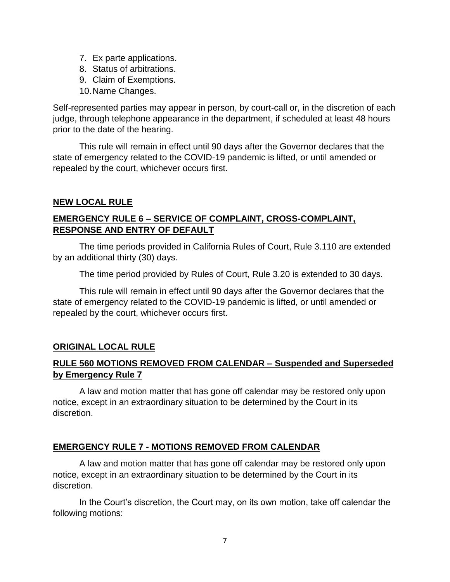- 7. Ex parte applications.
- 8. Status of arbitrations.
- 9. Claim of Exemptions.
- 10.Name Changes.

Self-represented parties may appear in person, by court-call or, in the discretion of each judge, through telephone appearance in the department, if scheduled at least 48 hours prior to the date of the hearing.

This rule will remain in effect until 90 days after the Governor declares that the state of emergency related to the COVID-19 pandemic is lifted, or until amended or repealed by the court, whichever occurs first.

### **NEW LOCAL RULE**

# **EMERGENCY RULE 6 – SERVICE OF COMPLAINT, CROSS-COMPLAINT, RESPONSE AND ENTRY OF DEFAULT**

The time periods provided in California Rules of Court, Rule 3.110 are extended by an additional thirty (30) days.

The time period provided by Rules of Court, Rule 3.20 is extended to 30 days.

This rule will remain in effect until 90 days after the Governor declares that the state of emergency related to the COVID-19 pandemic is lifted, or until amended or repealed by the court, whichever occurs first.

## **ORIGINAL LOCAL RULE**

# **RULE 560 MOTIONS REMOVED FROM CALENDAR – Suspended and Superseded by Emergency Rule 7**

A law and motion matter that has gone off calendar may be restored only upon notice, except in an extraordinary situation to be determined by the Court in its discretion.

## **EMERGENCY RULE 7 - MOTIONS REMOVED FROM CALENDAR**

A law and motion matter that has gone off calendar may be restored only upon notice, except in an extraordinary situation to be determined by the Court in its discretion.

In the Court's discretion, the Court may, on its own motion, take off calendar the following motions: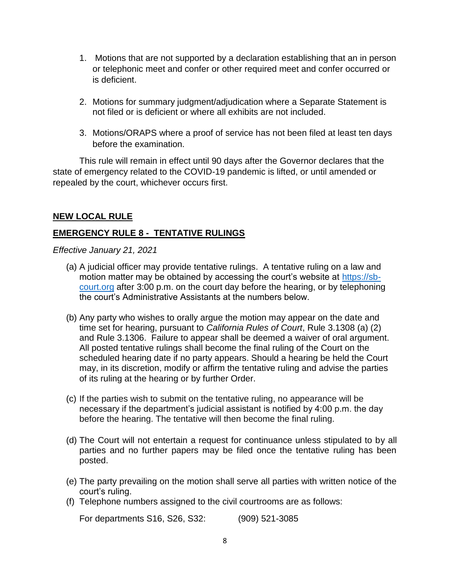- 1. Motions that are not supported by a declaration establishing that an in person or telephonic meet and confer or other required meet and confer occurred or is deficient.
- 2. Motions for summary judgment/adjudication where a Separate Statement is not filed or is deficient or where all exhibits are not included.
- 3. Motions/ORAPS where a proof of service has not been filed at least ten days before the examination.

This rule will remain in effect until 90 days after the Governor declares that the state of emergency related to the COVID-19 pandemic is lifted, or until amended or repealed by the court, whichever occurs first.

### **NEW LOCAL RULE**

# **EMERGENCY RULE 8 - TENTATIVE RULINGS**

#### *Effective January 21, 2021*

- (a) A judicial officer may provide tentative rulings. A tentative ruling on a law and motion matter may be obtained by accessing the court's website at [https://sb](https://sb-court.org/)[court.org](https://sb-court.org/) after 3:00 p.m. on the court day before the hearing, or by telephoning the court's Administrative Assistants at the numbers below.
- (b) Any party who wishes to orally argue the motion may appear on the date and time set for hearing, pursuant to *California Rules of Court*, Rule 3.1308 (a) (2) and Rule 3.1306. Failure to appear shall be deemed a waiver of oral argument. All posted tentative rulings shall become the final ruling of the Court on the scheduled hearing date if no party appears. Should a hearing be held the Court may, in its discretion, modify or affirm the tentative ruling and advise the parties of its ruling at the hearing or by further Order.
- (c) If the parties wish to submit on the tentative ruling, no appearance will be necessary if the department's judicial assistant is notified by 4:00 p.m. the day before the hearing. The tentative will then become the final ruling.
- (d) The Court will not entertain a request for continuance unless stipulated to by all parties and no further papers may be filed once the tentative ruling has been posted.
- (e) The party prevailing on the motion shall serve all parties with written notice of the court's ruling.
- (f) Telephone numbers assigned to the civil courtrooms are as follows:

For departments S16, S26, S32: (909) 521-3085